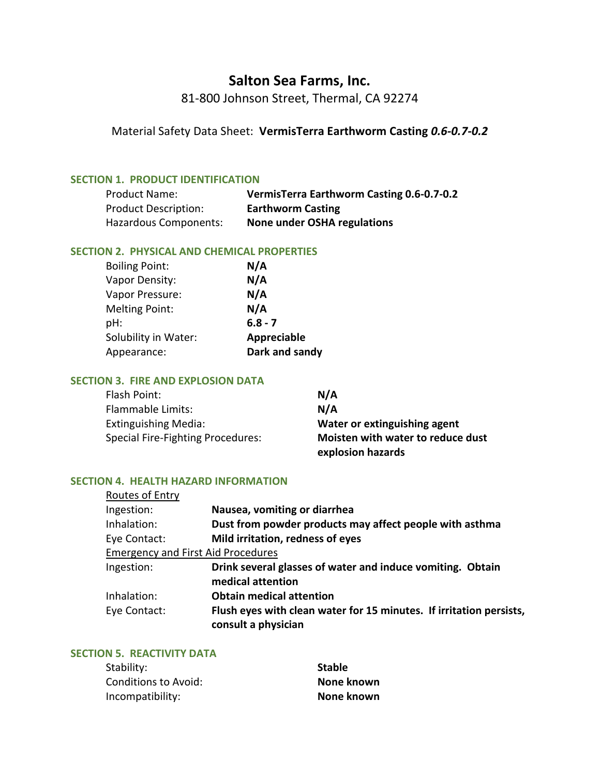# **Salton Sea Farms, Inc.**

81-800 Johnson Street, Thermal, CA 92274

Material Safety Data Sheet: **VermisTerra Earthworm Casting** *0.6-0.7-0.2*

#### **SECTION 1. PRODUCT IDENTIFICATION**

| <b>Product Name:</b>        | VermisTerra Earthworm Casting 0.6-0.7-0.2 |
|-----------------------------|-------------------------------------------|
| <b>Product Description:</b> | <b>Earthworm Casting</b>                  |
| Hazardous Components:       | None under OSHA regulations               |

#### **SECTION 2. PHYSICAL AND CHEMICAL PROPERTIES**

| <b>Boiling Point:</b> | N/A                |
|-----------------------|--------------------|
| Vapor Density:        | N/A                |
| Vapor Pressure:       | N/A                |
| <b>Melting Point:</b> | N/A                |
| pH:                   | $6.8 - 7$          |
| Solubility in Water:  | <b>Appreciable</b> |
| Appearance:           | Dark and sandy     |

#### **SECTION 3. FIRE AND EXPLOSION DATA**

| Flash Point:                      | N/A                               |
|-----------------------------------|-----------------------------------|
| <b>Flammable Limits:</b>          | N/A                               |
| <b>Extinguishing Media:</b>       | Water or extinguishing agent      |
| Special Fire-Fighting Procedures: | Moisten with water to reduce dust |
|                                   | explosion hazards                 |

#### **SECTION 4. HEALTH HAZARD INFORMATION**

| Routes of Entry                           |                                                                                            |
|-------------------------------------------|--------------------------------------------------------------------------------------------|
| Ingestion:                                | Nausea, vomiting or diarrhea                                                               |
| Inhalation:                               | Dust from powder products may affect people with asthma                                    |
| Eye Contact:                              | Mild irritation, redness of eyes                                                           |
| <b>Emergency and First Aid Procedures</b> |                                                                                            |
| Ingestion:                                | Drink several glasses of water and induce vomiting. Obtain<br>medical attention            |
| Inhalation:                               | <b>Obtain medical attention</b>                                                            |
| Eye Contact:                              | Flush eyes with clean water for 15 minutes. If irritation persists,<br>consult a physician |

# **SECTION 5. REACTIVITY DATA**

| Stability:           | <b>Stable</b> |
|----------------------|---------------|
| Conditions to Avoid: | None known    |
| Incompatibility:     | None known    |